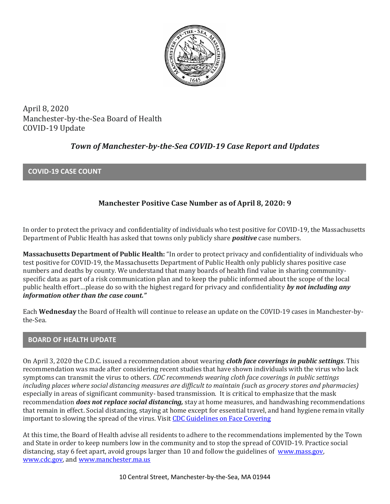

April 8, 2020 Manchester-by-the-Sea Board of Health COVID-19 Update

# *Town of Manchester-by-the-Sea COVID-19 Case Report and Updates*

### **COVID-19 CASE COUNT**

## **Manchester Positive Case Number as of April 8, 2020: 9**

In order to protect the privacy and confidentiality of individuals who test positive for COVID-19, the Massachusetts Department of Public Health has asked that towns only publicly share *positive* case numbers.

**Massachusetts Department of Public Health:** "In order to protect privacy and confidentiality of individuals who test positive for COVID-19, the Massachusetts Department of Public Health only publicly shares positive case numbers and deaths by county. We understand that many boards of health find value in sharing communityspecific data as part of a risk communication plan and to keep the public informed about the scope of the local public health effort…please do so with the highest regard for privacy and confidentiality *by not including any information other than the case count."*

Each **Wednesday** the Board of Health will continue to release an update on the COVID-19 cases in Manchester-bythe-Sea.

### **BOARD OF HEALTH UPDATE**

On April 3, 2020 the C.D.C. issued a recommendation about wearing *cloth face coverings in public settings*. This recommendation was made after considering recent studies that have shown individuals with the virus who lack symptoms can transmit the virus to others. *CDC recommends wearing cloth face coverings in public settings including places where social distancing measures are difficult to maintain (such as grocery stores and pharmacies)*  especially in areas of significant community- based transmission. It is critical to emphasize that the mask recommendation *does not replace social distancing,* stay at home measures, and handwashing recommendations that remain in effect. Social distancing, staying at home except for essential travel, and hand hygiene remain vitally important to slowing the spread of the virus. Visit [CDC Guidelines on Face Covering](https://www.cdc.gov/coronavirus/2019-ncov/prevent-getting-sick/cloth-face-cover.html)

At this time, the Board of Health advise all residents to adhere to the recommendations implemented by the Town and State in order to keep numbers low in the community and to stop the spread of COVID-19. Practice social distancing, stay 6 feet apart, avoid groups larger than 10 and follow the guidelines of [www.mass.gov,](https://www.mass.gov/) [www.cdc.gov,](https://www.cdc.gov/) an[d www.manchester.ma.us](http://www.manchester.ma.us/)